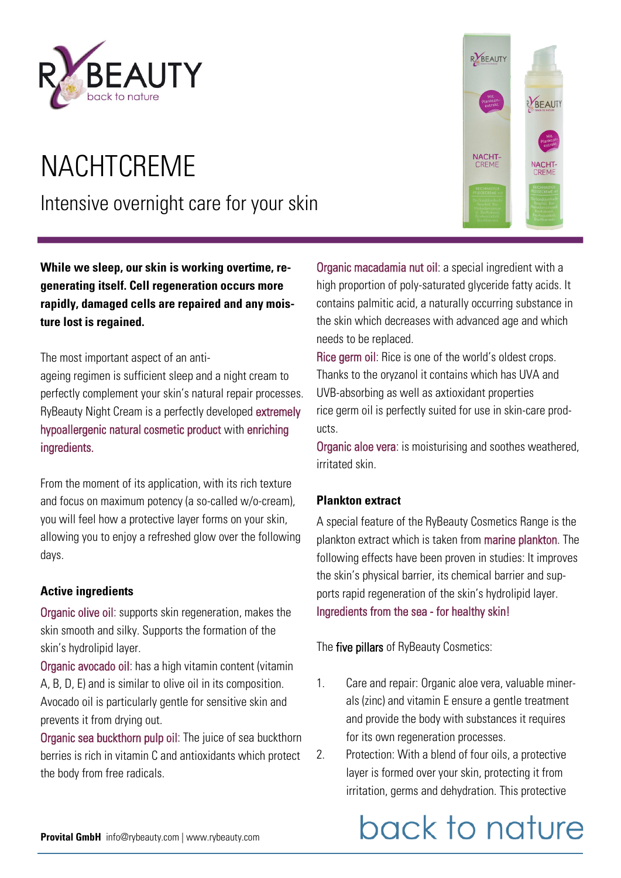

# **NACHTCREME** Intensive overnight care for your skin

**While we sleep, our skin is working overtime, regenerating itself. Cell regeneration occurs more rapidly, damaged cells are repaired and any moisture lost is regained.** 

The most important aspect of an anti-

ageing regimen is sufficient sleep and a night cream to perfectly complement your skin's natural repair processes. RyBeauty Night Cream is a perfectly developed extremely hypoallergenic natural cosmetic product with enriching ingredients.

From the moment of its application, with its rich texture and focus on maximum potency (a so-called w/o-cream), you will feel how a protective layer forms on your skin, allowing you to enjoy a refreshed glow over the following days.

#### **Active ingredients**

Organic olive oil: supports skin regeneration, makes the skin smooth and silky. Supports the formation of the skin's hydrolipid layer.

Organic avocado oil: has a high vitamin content (vitamin A, B, D, E) and is similar to olive oil in its composition. Avocado oil is particularly gentle for sensitive skin and prevents it from drying out.

Organic sea buckthorn pulp oil: The juice of sea buckthorn berries is rich in vitamin C and antioxidants which protect the body from free radicals.



Organic macadamia nut oil: a special ingredient with a high proportion of poly-saturated glyceride fatty acids. It contains palmitic acid, a naturally occurring substance in the skin which decreases with advanced age and which needs to be replaced.

Rice germ oil: Rice is one of the world's oldest crops. Thanks to the oryzanol it contains which has UVA and UVB-absorbing as well as axtioxidant properties rice germ oil is perfectly suited for use in skin-care products.

Organic aloe vera: is moisturising and soothes weathered, irritated skin.

#### **Plankton extract**

A special feature of the RyBeauty Cosmetics Range is the plankton extract which is taken from marine plankton. The following effects have been proven in studies: It improves the skin's physical barrier, its chemical barrier and supports rapid regeneration of the skin's hydrolipid layer. Ingredients from the sea - for healthy skin!

The five pillars of RyBeauty Cosmetics:

- 1. Care and repair: Organic aloe vera, valuable minerals (zinc) and vitamin E ensure a gentle treatment and provide the body with substances it requires for its own regeneration processes.
- 2. Protection: With a blend of four oils, a protective layer is formed over your skin, protecting it from irritation, germs and dehydration. This protective

# back to nature